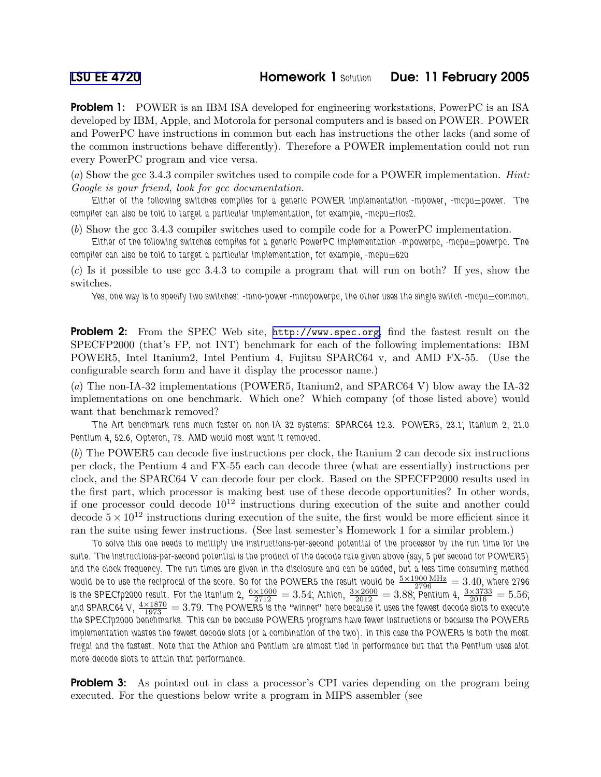**Problem 1:** POWER is an IBM ISA developed for engineering workstations, PowerPC is an ISA developed by IBM, Apple, and Motorola for personal computers and is based on POWER. POWER and PowerPC have instructions in common but each has instructions the other lacks (and some of the common instructions behave differently). Therefore a POWER implementation could not run every PowerPC program and vice versa.

(a) Show the gcc 3.4.3 compiler switches used to compile code for a POWER implementation. Hint: Google is your friend, look for gcc documentation.

Either of the following switches compiles for a generic POWER implementation -mpower, -mcpu=power. The compiler can also be told to target a particular implementation, for example,  $-$ mcpu $=$ rios2.

(b) Show the gcc 3.4.3 compiler switches used to compile code for a PowerPC implementation.

Either of the following switches compiles for a generic PowerPC implementation -mpowerpc, -mcpu=powerpc. The compiler can also be told to target a particular implementation, for example, -mcpu=620

(c) Is it possible to use gcc 3.4.3 to compile a program that will run on both? If yes, show the switches.

Yes, one way is to specify two switches: -mno-power -mnopowerpc, the other uses the single switch -mcpu $=$ common.

**Problem 2:** From the SPEC Web site, <http://www.spec.org>, find the fastest result on the SPECFP2000 (that's FP, not INT) benchmark for each of the following implementations: IBM POWER5, Intel Itanium2, Intel Pentium 4, Fujitsu SPARC64 v, and AMD FX-55. (Use the configurable search form and have it display the processor name.)

(a) The non-IA-32 implementations (POWER5, Itanium2, and SPARC64 V) blow away the IA-32 implementations on one benchmark. Which one? Which company (of those listed above) would want that benchmark removed?

The Art benchmark runs much faster on non-IA 32 systems: SPARC64 12.3. POWER5, 23.1; Itanium 2, 21.0 Pentium 4, 52.6, Opteron, 78. AMD would most want it removed.

(b) The POWER5 can decode five instructions per clock, the Itanium 2 can decode six instructions per clock, the Pentium 4 and FX-55 each can decode three (what are essentially) instructions per clock, and the SPARC64 V can decode four per clock. Based on the SPECFP2000 results used in the first part, which processor is making best use of these decode opportunities? In other words, if one processor could decode  $10^{12}$  instructions during execution of the suite and another could decode  $5 \times 10^{12}$  instructions during execution of the suite, the first would be more efficient since it ran the suite using fewer instructions. (See last semester's Homework 1 for a similar problem.)

To solve this one needs to multiply the instructions-per-second potential of the processor by the run time for the suite. The instructions-per-second potential is the product of the decode rate given above (say, 5 per second for POWER5) and the clock frequency. The run times are given in the disclosure and can be added, but a less time consuming method would be to use the reciprocal of the score. So for the POWER5 the result would be  $\frac{5\times1900~\rm{MHz}}{2796}=3.40$ , where 2796 is the SPECfp2000 result. For the Itanium 2,  $\frac{6\times1600}{2712}=3.54$ ; Athlon,  $\frac{3\times2600}{2012}=3.88$ ; Pentium 4,  $\frac{3\times3733}{2016}=5.56$ ; and SPARC64 V,  $\frac{4\times1870}{1973}=3.79$ . The POWER5 is the "winner" here because it uses the fewest decode slots to execute the SPECfp2000 benchmarks. This can be because POWER5 programs have fewer instructions or because the POWER5 implementation wastes the fewest decode slots (or a combination of the two). In this case the POWER5 is both the most frugal and the fastest. Note that the Athlon and Pentium are almost tied in performance but that the Pentium uses alot more decode slots to attain that performance.

**Problem 3:** As pointed out in class a processor's CPI varies depending on the program being executed. For the questions below write a program in MIPS assembler (see